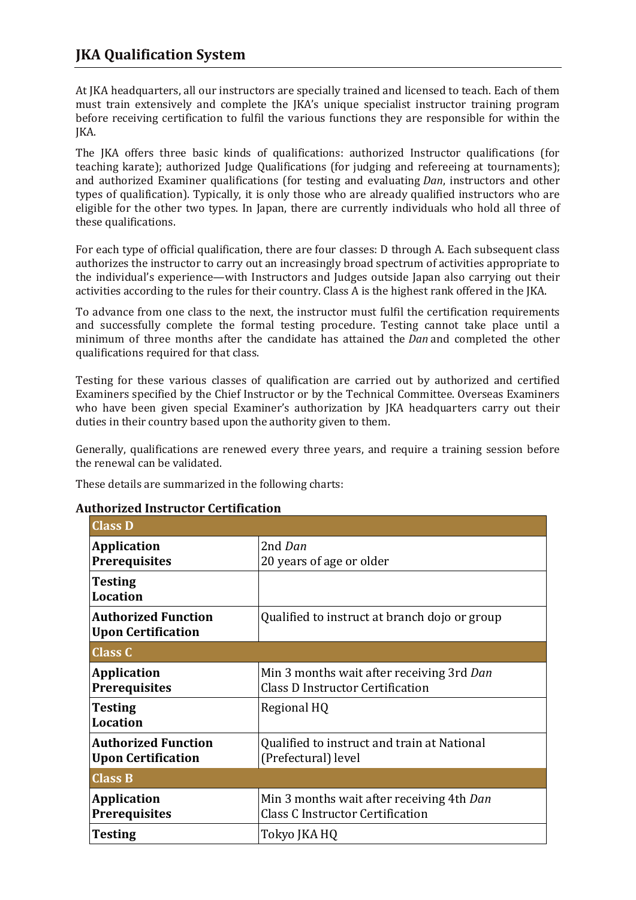## **JKA Qualification System**

At JKA headquarters, all our instructors are specially trained and licensed to teach. Each of them must train extensively and complete the JKA's unique specialist instructor training program before receiving certification to fulfil the various functions they are responsible for within the JKA.

The JKA offers three basic kinds of qualifications: authorized Instructor qualifications (for teaching karate); authorized Judge Qualifications (for judging and refereeing at tournaments); and authorized Examiner qualifications (for testing and evaluating *Dan*, instructors and other types of qualification). Typically, it is only those who are already qualified instructors who are eligible for the other two types. In Japan, there are currently individuals who hold all three of these qualifications.

For each type of official qualification, there are four classes: D through A. Each subsequent class authorizes the instructor to carry out an increasingly broad spectrum of activities appropriate to the individual's experience—with Instructors and Judges outside Japan also carrying out their activities according to the rules for their country. Class A is the highest rank offered in the JKA.

To advance from one class to the next, the instructor must fulfil the certification requirements and successfully complete the formal testing procedure. Testing cannot take place until a minimum of three months after the candidate has attained the *Dan* and completed the other qualifications required for that class.

Testing for these various classes of qualification are carried out by authorized and certified Examiners specified by the Chief Instructor or by the Technical Committee. Overseas Examiners who have been given special Examiner's authorization by JKA headquarters carry out their duties in their country based upon the authority given to them.

Generally, qualifications are renewed every three years, and require a training session before the renewal can be validated.

These details are summarized in the following charts:

## **Authorized Instructor Certification**

| <b>Class D</b>                                          |                                                                                      |  |
|---------------------------------------------------------|--------------------------------------------------------------------------------------|--|
| <b>Application</b><br><b>Prerequisites</b>              | 2nd Dan<br>20 years of age or older                                                  |  |
| <b>Testing</b><br><b>Location</b>                       |                                                                                      |  |
| <b>Authorized Function</b><br><b>Upon Certification</b> | Qualified to instruct at branch dojo or group                                        |  |
| <b>Class C</b>                                          |                                                                                      |  |
| <b>Application</b><br><b>Prerequisites</b>              | Min 3 months wait after receiving 3rd Dan<br>Class D Instructor Certification        |  |
| <b>Testing</b><br><b>Location</b>                       | Regional HQ                                                                          |  |
| <b>Authorized Function</b><br><b>Upon Certification</b> | Qualified to instruct and train at National<br>(Prefectural) level                   |  |
| <b>Class B</b>                                          |                                                                                      |  |
| <b>Application</b><br><b>Prerequisites</b>              | Min 3 months wait after receiving 4th Dan<br><b>Class C Instructor Certification</b> |  |
| <b>Testing</b>                                          | Tokyo JKA HQ                                                                         |  |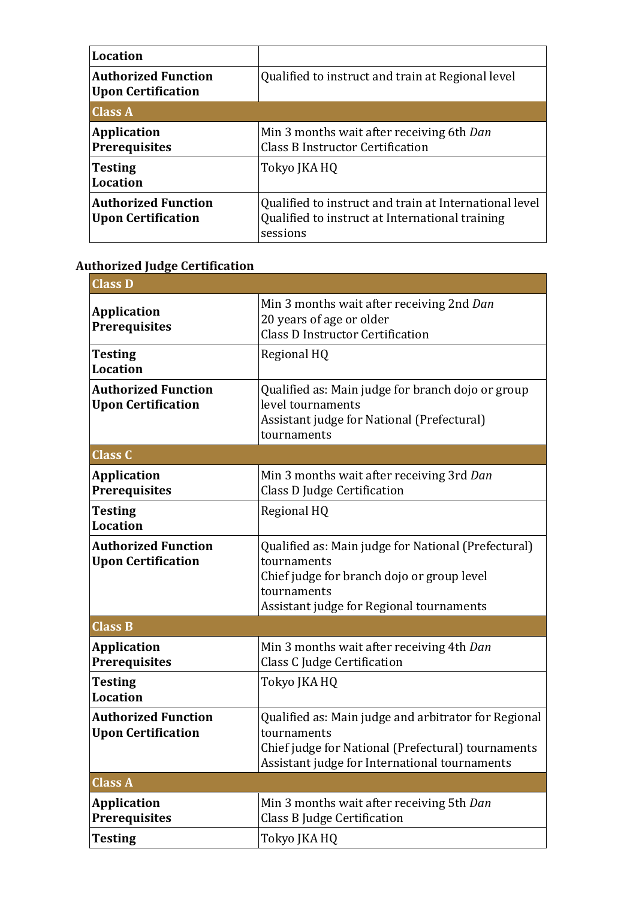| Location                                         |                                                                                                                       |
|--------------------------------------------------|-----------------------------------------------------------------------------------------------------------------------|
| <b>Authorized Function</b><br>Upon Certification | Qualified to instruct and train at Regional level                                                                     |
| <b>Class A</b>                                   |                                                                                                                       |
| <b>Application</b><br><b>Prerequisites</b>       | Min 3 months wait after receiving 6th Dan<br><b>Class B Instructor Certification</b>                                  |
| Testing<br>Location                              | Tokyo JKA HQ                                                                                                          |
| <b>Authorized Function</b><br>Upon Certification | Qualified to instruct and train at International level<br>Qualified to instruct at International training<br>sessions |

## **Authorized Judge Certification**

| <b>Class D</b>                                          |                                                                                                                                                                             |
|---------------------------------------------------------|-----------------------------------------------------------------------------------------------------------------------------------------------------------------------------|
| <b>Application</b><br><b>Prerequisites</b>              | Min 3 months wait after receiving 2nd Dan<br>20 years of age or older<br><b>Class D Instructor Certification</b>                                                            |
| <b>Testing</b><br><b>Location</b>                       | Regional HQ                                                                                                                                                                 |
| <b>Authorized Function</b><br><b>Upon Certification</b> | Qualified as: Main judge for branch dojo or group<br>level tournaments<br>Assistant judge for National (Prefectural)<br>tournaments                                         |
| <b>Class C</b>                                          |                                                                                                                                                                             |
| <b>Application</b><br><b>Prerequisites</b>              | Min 3 months wait after receiving 3rd Dan<br>Class D Judge Certification                                                                                                    |
| <b>Testing</b><br><b>Location</b>                       | Regional HQ                                                                                                                                                                 |
| <b>Authorized Function</b><br><b>Upon Certification</b> | Qualified as: Main judge for National (Prefectural)<br>tournaments<br>Chief judge for branch dojo or group level<br>tournaments<br>Assistant judge for Regional tournaments |
| <b>Class B</b>                                          |                                                                                                                                                                             |
| <b>Application</b><br><b>Prerequisites</b>              | Min 3 months wait after receiving 4th Dan<br>Class C Judge Certification                                                                                                    |
| <b>Testing</b><br><b>Location</b>                       | Tokyo JKA HQ                                                                                                                                                                |
| <b>Authorized Function</b><br><b>Upon Certification</b> | Qualified as: Main judge and arbitrator for Regional<br>tournaments<br>Chief judge for National (Prefectural) tournaments<br>Assistant judge for International tournaments  |
| <b>Class A</b>                                          |                                                                                                                                                                             |
| <b>Application</b><br><b>Prerequisites</b>              | Min 3 months wait after receiving 5th Dan<br>Class B Judge Certification                                                                                                    |
| <b>Testing</b>                                          | Tokyo JKA HQ                                                                                                                                                                |